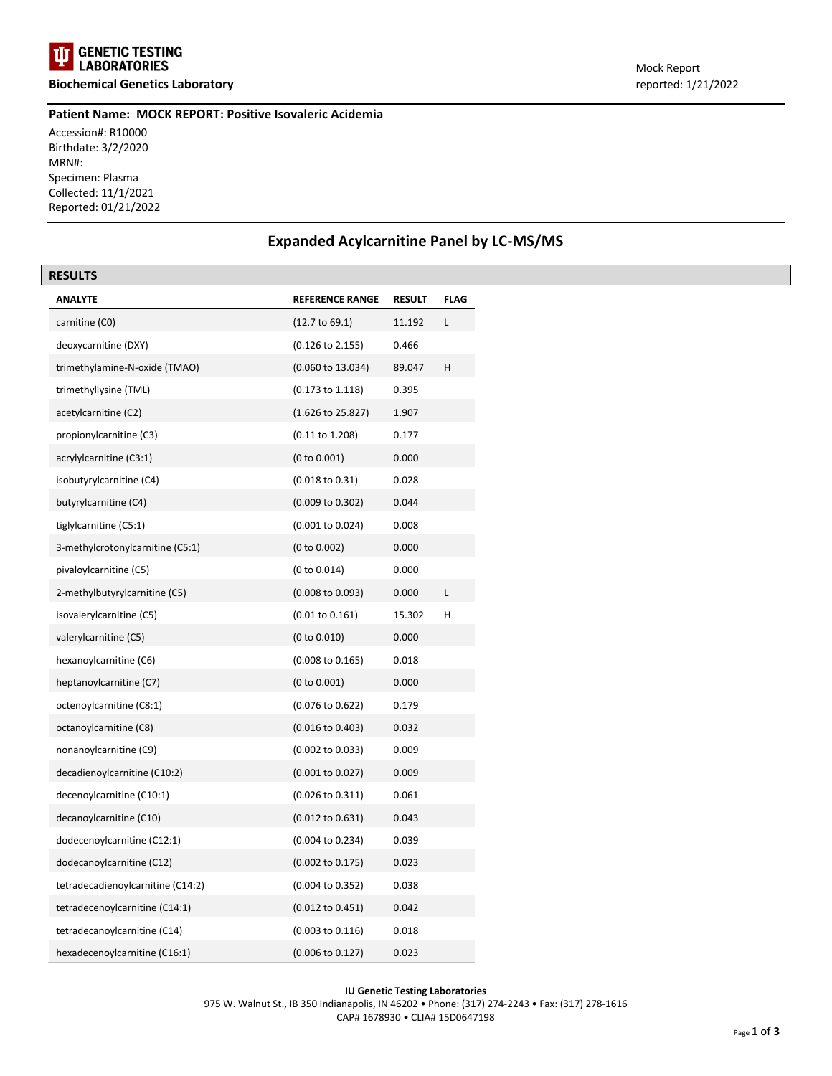

**Biochemical Genetics Laboratory** reported: 1/21/2022

#### **Patient Name: MOCK REPORT: Positive Isovaleric Acidemia**

Accession#: R10000 Birthdate: 3/2/2020 MRN#: Specimen: Plasma Collected: 11/1/2021 Reported: 01/21/2022

## **Expanded Acylcarnitine Panel by LC-MS/MS**

| <b>RESULTS</b>                    |                             |               |             |
|-----------------------------------|-----------------------------|---------------|-------------|
| <b>ANALYTE</b>                    | <b>REFERENCE RANGE</b>      | <b>RESULT</b> | <b>FLAG</b> |
| carnitine (CO)                    | (12.7 to 69.1)              | 11.192        | L           |
| deoxycarnitine (DXY)              | $(0.126 \text{ to } 2.155)$ | 0.466         |             |
| trimethylamine-N-oxide (TMAO)     | (0.060 to 13.034)           | 89.047        | н           |
| trimethyllysine (TML)             | $(0.173 \text{ to } 1.118)$ | 0.395         |             |
| acetylcarnitine (C2)              | (1.626 to 25.827)           | 1.907         |             |
| propionylcarnitine (C3)           | $(0.11 \text{ to } 1.208)$  | 0.177         |             |
| acrylylcarnitine (C3:1)           | (0 to 0.001)                | 0.000         |             |
| isobutyrylcarnitine (C4)          | $(0.018 \text{ to } 0.31)$  | 0.028         |             |
| butyrylcarnitine (C4)             | (0.009 to 0.302)            | 0.044         |             |
| tiglylcarnitine (C5:1)            | $(0.001 \text{ to } 0.024)$ | 0.008         |             |
| 3-methylcrotonylcarnitine (C5:1)  | (0 to 0.002)                | 0.000         |             |
| pivaloylcarnitine (C5)            | (0 to 0.014)                | 0.000         |             |
| 2-methylbutyrylcarnitine (C5)     | $(0.008 \text{ to } 0.093)$ | 0.000         | L           |
| isovalerylcarnitine (C5)          | $(0.01 \text{ to } 0.161)$  | 15.302        | н           |
| valerylcarnitine (C5)             | (0 to 0.010)                | 0.000         |             |
| hexanoylcarnitine (C6)            | $(0.008 \text{ to } 0.165)$ | 0.018         |             |
| heptanoylcarnitine (C7)           | (0 to 0.001)                | 0.000         |             |
| octenoylcarnitine (C8:1)          | (0.076 to 0.622)            | 0.179         |             |
| octanoylcarnitine (C8)            | $(0.016 \text{ to } 0.403)$ | 0.032         |             |
| nonanoylcarnitine (C9)            | $(0.002 \text{ to } 0.033)$ | 0.009         |             |
| decadienoylcarnitine (C10:2)      | $(0.001$ to $0.027)$        | 0.009         |             |
| decenoylcarnitine (C10:1)         | $(0.026 \text{ to } 0.311)$ | 0.061         |             |
| decanoylcarnitine (C10)           | $(0.012 \text{ to } 0.631)$ | 0.043         |             |
| dodecenoylcarnitine (C12:1)       | (0.004 to 0.234)            | 0.039         |             |
| dodecanoylcarnitine (C12)         | $(0.002 \text{ to } 0.175)$ | 0.023         |             |
| tetradecadienoylcarnitine (C14:2) | $(0.004 \text{ to } 0.352)$ | 0.038         |             |
| tetradecenoylcarnitine (C14:1)    | $(0.012 \text{ to } 0.451)$ | 0.042         |             |
| tetradecanoylcarnitine (C14)      | $(0.003 \text{ to } 0.116)$ | 0.018         |             |
| hexadecenoylcarnitine (C16:1)     | $(0.006 \text{ to } 0.127)$ | 0.023         |             |

#### **IU Genetic Testing Laboratories** 975 W. Walnut St., IB 350 Indianapolis, IN 46202 • Phone: (317) 274-2243 • Fax: (317) 278-1616 CAP# 1678930 • CLIA# 15D0647198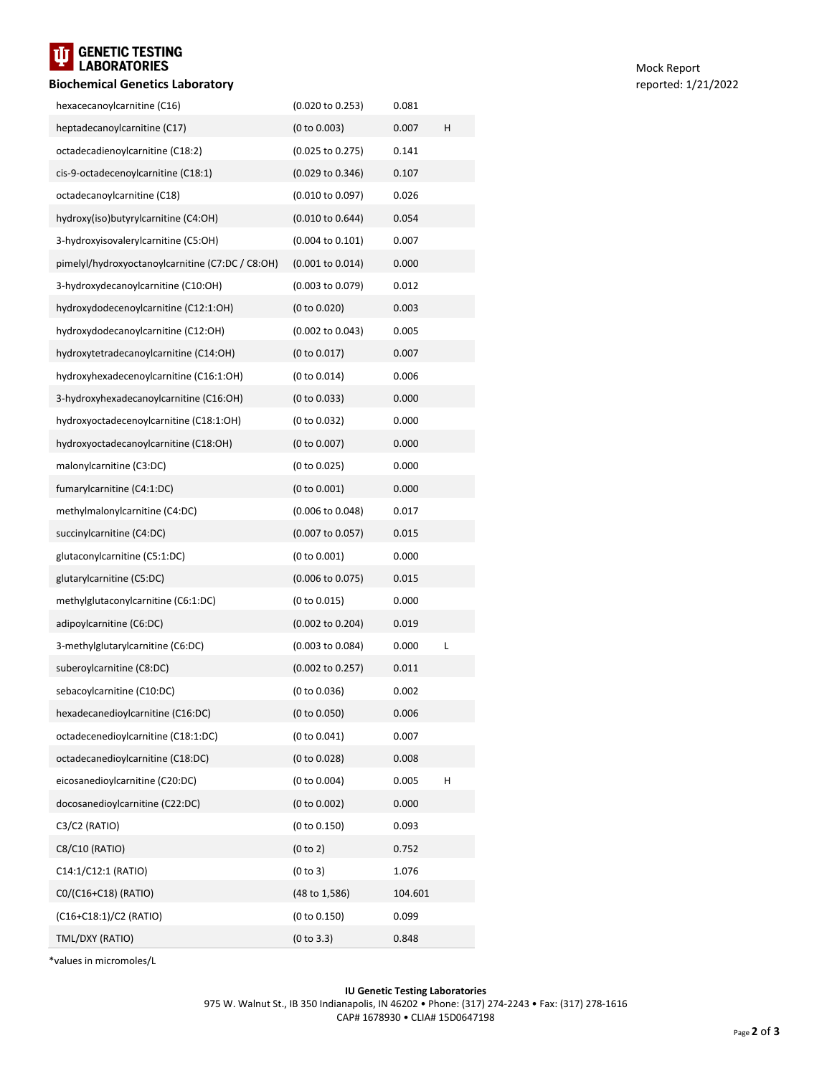# T<mark>it</mark> Genetic Testing<br>Laboratories

### **Biochemical Genetics Laboratory** reported: 1/21/2022

| hexacecanoylcarnitine (C16)                      | (0.020 to 0.253)            | 0.081   |   |
|--------------------------------------------------|-----------------------------|---------|---|
| heptadecanoylcarnitine (C17)                     | (0 to 0.003)                | 0.007   | н |
| octadecadienoylcarnitine (C18:2)                 | (0.025 to 0.275)            | 0.141   |   |
| cis-9-octadecenoylcarnitine (C18:1)              | $(0.029 \text{ to } 0.346)$ | 0.107   |   |
| octadecanoylcarnitine (C18)                      | $(0.010 \text{ to } 0.097)$ | 0.026   |   |
| hydroxy(iso)butyrylcarnitine (C4:OH)             | $(0.010 \text{ to } 0.644)$ | 0.054   |   |
| 3-hydroxyisovalerylcarnitine (C5:OH)             | $(0.004 \text{ to } 0.101)$ | 0.007   |   |
| pimelyl/hydroxyoctanoylcarnitine (C7:DC / C8:OH) | $(0.001$ to $0.014)$        | 0.000   |   |
| 3-hydroxydecanoylcarnitine (C10:OH)              | $(0.003 \text{ to } 0.079)$ | 0.012   |   |
| hydroxydodecenoylcarnitine (C12:1:OH)            | (0 to 0.020)                | 0.003   |   |
| hydroxydodecanoylcarnitine (C12:OH)              | $(0.002 \text{ to } 0.043)$ | 0.005   |   |
| hydroxytetradecanoylcarnitine (C14:OH)           | (0 to 0.017)                | 0.007   |   |
| hydroxyhexadecenoylcarnitine (C16:1:OH)          | (0 to 0.014)                | 0.006   |   |
| 3-hydroxyhexadecanoylcarnitine (C16:OH)          | (0 to 0.033)                | 0.000   |   |
| hydroxyoctadecenoylcarnitine (C18:1:OH)          | (0 to 0.032)                | 0.000   |   |
| hydroxyoctadecanoylcarnitine (C18:OH)            | (0 to 0.007)                | 0.000   |   |
| malonylcarnitine (C3:DC)                         | (0 to 0.025)                | 0.000   |   |
| fumarylcarnitine (C4:1:DC)                       | (0 to 0.001)                | 0.000   |   |
| methylmalonylcarnitine (C4:DC)                   | $(0.006 \text{ to } 0.048)$ | 0.017   |   |
| succinylcarnitine (C4:DC)                        | (0.007 to 0.057)            | 0.015   |   |
| glutaconylcarnitine (C5:1:DC)                    | (0 to 0.001)                | 0.000   |   |
| glutarylcarnitine (C5:DC)                        | $(0.006 \text{ to } 0.075)$ | 0.015   |   |
| methylglutaconylcarnitine (C6:1:DC)              | (0 to 0.015)                | 0.000   |   |
| adipoylcarnitine (C6:DC)                         | $(0.002 \text{ to } 0.204)$ | 0.019   |   |
| 3-methylglutarylcarnitine (C6:DC)                | $(0.003 \text{ to } 0.084)$ | 0.000   | L |
| suberoylcarnitine (C8:DC)                        | $(0.002 \text{ to } 0.257)$ | 0.011   |   |
| sebacoylcarnitine (C10:DC)                       | (0 to 0.036)                | 0.002   |   |
| hexadecanedioylcarnitine (C16:DC)                | (0 to 0.050)                | 0.006   |   |
| octadecenedioylcarnitine (C18:1:DC)              | (0 to 0.041)                | 0.007   |   |
| octadecanedioylcarnitine (C18:DC)                | (0 to 0.028)                | 0.008   |   |
| eicosanedioylcarnitine (C20:DC)                  | (0 to 0.004)                | 0.005   | Н |
| docosanedioylcarnitine (C22:DC)                  | (0 to 0.002)                | 0.000   |   |
| C3/C2 (RATIO)                                    | (0 to 0.150)                | 0.093   |   |
| C8/C10 (RATIO)                                   | (0 to 2)                    | 0.752   |   |
| C14:1/C12:1 (RATIO)                              | (0 to 3)                    | 1.076   |   |
| C0/(C16+C18) (RATIO)                             | (48 to 1,586)               | 104.601 |   |
| (C16+C18:1)/C2 (RATIO)                           | (0 to 0.150)                | 0.099   |   |
| TML/DXY (RATIO)                                  | (0 to 3.3)                  | 0.848   |   |

\*values in micromoles/L

**IU Genetic Testing Laboratories** 975 W. Walnut St., IB 350 Indianapolis, IN 46202 • Phone: (317) 274-2243 • Fax: (317) 278-1616 CAP# 1678930 • CLIA# 15D0647198

Mock Report